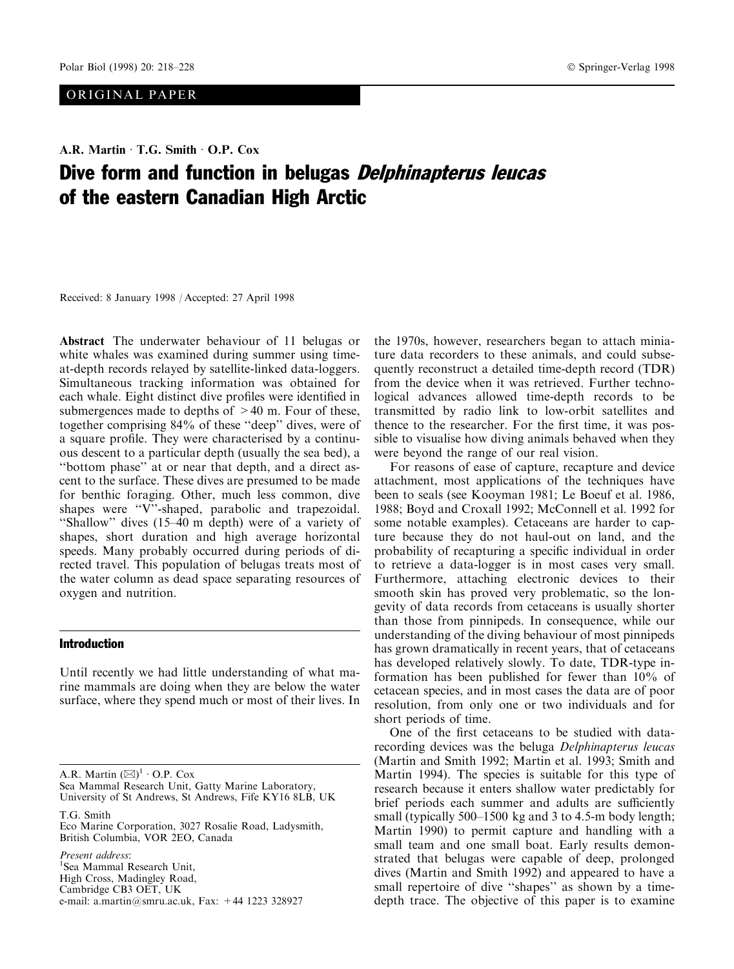# ORIGINAL PAPER

# A.R. Martin · T.G. Smith · O.P. Cox Dive form and function in belugas *Delphinapterus leucas* of the eastern Canadian High Arctic

Received: 8 January 1998 / Accepted: 27 April 1998

Abstract The underwater behaviour of 11 belugas or white whales was examined during summer using timeat-depth records relayed by satellite-linked data-loggers. Simultaneous tracking information was obtained for each whale. Eight distinct dive profiles were identified in submergences made to depths of  $>40$  m. Four of these, together comprising 84% of these "deep" dives, were of a square profile. They were characterised by a continuous descent to a particular depth (usually the sea bed), a ``bottom phase'' at or near that depth, and a direct ascent to the surface. These dives are presumed to be made for benthic foraging. Other, much less common, dive shapes were "V"-shaped, parabolic and trapezoidal. "Shallow" dives  $(15-40 \text{ m depth})$  were of a variety of shapes, short duration and high average horizontal speeds. Many probably occurred during periods of directed travel. This population of belugas treats most of the water column as dead space separating resources of oxygen and nutrition.

# Introduction

Until recently we had little understanding of what marine mammals are doing when they are below the water surface, where they spend much or most of their lives. In

A.R. Martin  $(\boxtimes)^1$  · O.P. Cox

Sea Mammal Research Unit, Gatty Marine Laboratory, University of St Andrews, St Andrews, Fife KY16 8LB, UK

T.G. Smith

Eco Marine Corporation, 3027 Rosalie Road, Ladysmith, British Columbia, VOR 2EO, Canada

Present address: <sup>1</sup>Sea Mammal Research Unit, High Cross, Madingley Road, Cambridge CB3 OET, UK e-mail: a.martin@smru.ac.uk, Fax: +44 1223 328927 the 1970s, however, researchers began to attach miniature data recorders to these animals, and could subsequently reconstruct a detailed time-depth record (TDR) from the device when it was retrieved. Further technological advances allowed time-depth records to be transmitted by radio link to low-orbit satellites and thence to the researcher. For the first time, it was possible to visualise how diving animals behaved when they were beyond the range of our real vision.

For reasons of ease of capture, recapture and device attachment, most applications of the techniques have been to seals (see Kooyman 1981; Le Boeuf et al. 1986, 1988; Boyd and Croxall 1992; McConnell et al. 1992 for some notable examples). Cetaceans are harder to capture because they do not haul-out on land, and the probability of recapturing a specific individual in order to retrieve a data-logger is in most cases very small. Furthermore, attaching electronic devices to their smooth skin has proved very problematic, so the longevity of data records from cetaceans is usually shorter than those from pinnipeds. In consequence, while our understanding of the diving behaviour of most pinnipeds has grown dramatically in recent years, that of cetaceans has developed relatively slowly. To date, TDR-type information has been published for fewer than 10% of cetacean species, and in most cases the data are of poor resolution, from only one or two individuals and for short periods of time.

One of the first cetaceans to be studied with datarecording devices was the beluga Delphinapterus leucas (Martin and Smith 1992; Martin et al. 1993; Smith and Martin 1994). The species is suitable for this type of research because it enters shallow water predictably for brief periods each summer and adults are sufficiently small (typically  $500-1500$  kg and 3 to 4.5-m body length; Martin 1990) to permit capture and handling with a small team and one small boat. Early results demonstrated that belugas were capable of deep, prolonged dives (Martin and Smith 1992) and appeared to have a small repertoire of dive "shapes" as shown by a timedepth trace. The objective of this paper is to examine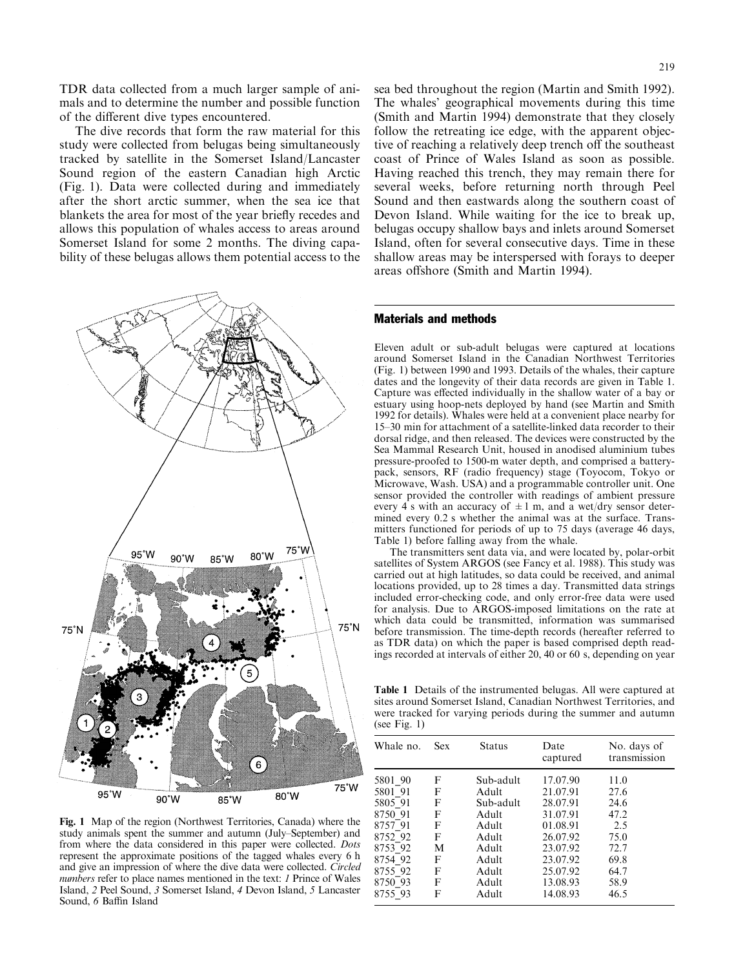TDR data collected from a much larger sample of animals and to determine the number and possible function of the different dive types encountered.

The dive records that form the raw material for this study were collected from belugas being simultaneously tracked by satellite in the Somerset Island/Lancaster Sound region of the eastern Canadian high Arctic (Fig. 1). Data were collected during and immediately after the short arctic summer, when the sea ice that blankets the area for most of the year briefly recedes and allows this population of whales access to areas around Somerset Island for some 2 months. The diving capability of these belugas allows them potential access to the



Fig. 1 Map of the region (Northwest Territories, Canada) where the study animals spent the summer and autumn (July–September) and from where the data considered in this paper were collected. Dots represent the approximate positions of the tagged whales every 6 h and give an impression of where the dive data were collected. Circled numbers refer to place names mentioned in the text: 1 Prince of Wales Island, 2 Peel Sound, 3 Somerset Island, 4 Devon Island, 5 Lancaster Sound, 6 Baffin Island

sea bed throughout the region (Martin and Smith 1992). The whales' geographical movements during this time (Smith and Martin 1994) demonstrate that they closely follow the retreating ice edge, with the apparent objective of reaching a relatively deep trench off the southeast coast of Prince of Wales Island as soon as possible. Having reached this trench, they may remain there for several weeks, before returning north through Peel Sound and then eastwards along the southern coast of Devon Island. While waiting for the ice to break up, belugas occupy shallow bays and inlets around Somerset

#### Materials and methods

Eleven adult or sub-adult belugas were captured at locations around Somerset Island in the Canadian Northwest Territories (Fig. 1) between 1990 and 1993. Details of the whales, their capture dates and the longevity of their data records are given in Table 1. Capture was effected individually in the shallow water of a bay or estuary using hoop-nets deployed by hand (see Martin and Smith 1992 for details). Whales were held at a convenient place nearby for 15–30 min for attachment of a satellite-linked data recorder to their dorsal ridge, and then released. The devices were constructed by the Sea Mammal Research Unit, housed in anodised aluminium tubes pressure-proofed to 1500-m water depth, and comprised a batterypack, sensors, RF (radio frequency) stage (Toyocom, Tokyo or Microwave, Wash. USA) and a programmable controller unit. One sensor provided the controller with readings of ambient pressure every 4 s with an accuracy of  $\pm 1$  m, and a wet/dry sensor determined every 0.2 s whether the animal was at the surface. Transmitters functioned for periods of up to 75 days (average 46 days, Table 1) before falling away from the whale.

Island, often for several consecutive days. Time in these shallow areas may be interspersed with forays to deeper

areas offshore (Smith and Martin 1994).

The transmitters sent data via, and were located by, polar-orbit satellites of System ARGOS (see Fancy et al. 1988). This study was carried out at high latitudes, so data could be received, and animal locations provided, up to 28 times a day. Transmitted data strings included error-checking code, and only error-free data were used for analysis. Due to ARGOS-imposed limitations on the rate at which data could be transmitted, information was summarised before transmission. The time-depth records (hereafter referred to as TDR data) on which the paper is based comprised depth readings recorded at intervals of either 20, 40 or 60 s, depending on year

Table 1 Details of the instrumented belugas. All were captured at sites around Somerset Island, Canadian Northwest Territories, and were tracked for varying periods during the summer and autumn (see Fig. 1)

| Whale no.          | <b>Sex</b> | <b>Status</b>      | Date<br>captured     | No. days of<br>transmission |
|--------------------|------------|--------------------|----------------------|-----------------------------|
| 5801 90<br>5801 91 | F<br>F     | Sub-adult<br>Adult | 17.07.90<br>21.07.91 | 11.0<br>27.6                |
| 5805 91            | F          | Sub-adult          | 28.07.91             | 24.6                        |
| 8750 91<br>8757 91 | F<br>F     | Adult<br>Adult     | 31.07.91<br>01.08.91 | 47.2<br>2.5                 |
| 8752 92            | F          | Adult              | 26.07.92             | 75.0                        |
| 8753 92            | M          | Adult              | 23.07.92             | 72.7                        |
| 8754 92            | F          | Adult              | 23.07.92             | 69.8                        |
| 8755 92            | F          | Adult              | 25.07.92             | 64.7                        |
| 8750 93            | F          | Adult              | 13.08.93             | 58.9                        |
| 8755 93            | F          | Adult              | 14.08.93             | 46.5                        |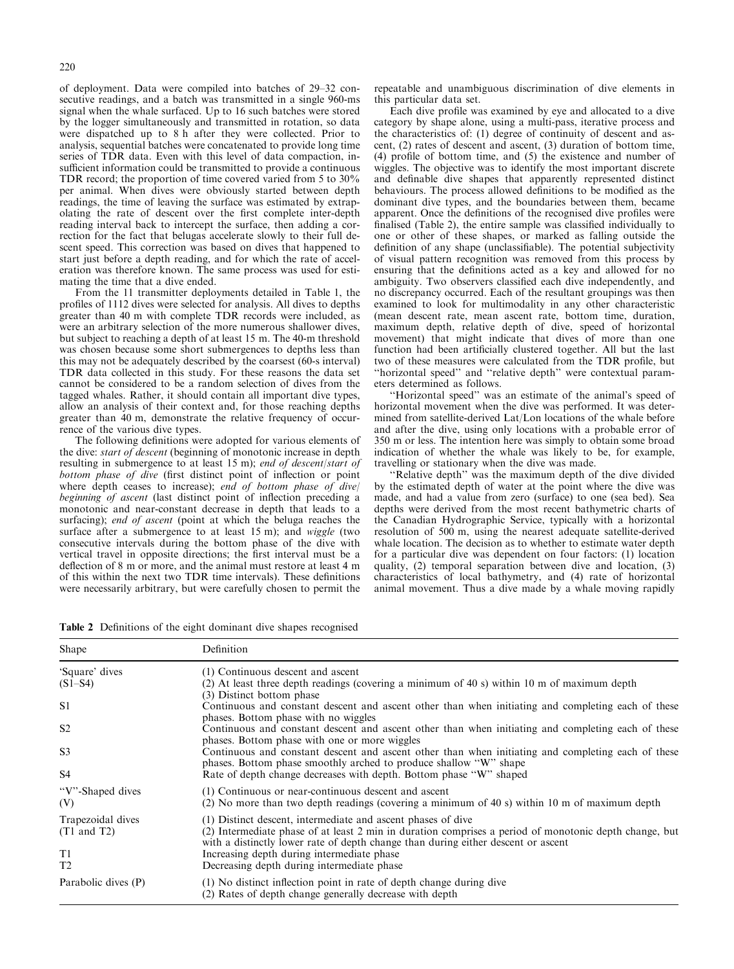of deployment. Data were compiled into batches of 29-32 consecutive readings, and a batch was transmitted in a single 960-ms signal when the whale surfaced. Up to 16 such batches were stored by the logger simultaneously and transmitted in rotation, so data were dispatched up to 8 h after they were collected. Prior to analysis, sequential batches were concatenated to provide long time series of TDR data. Even with this level of data compaction, insufficient information could be transmitted to provide a continuous TDR record; the proportion of time covered varied from 5 to 30% per animal. When dives were obviously started between depth readings, the time of leaving the surface was estimated by extrapolating the rate of descent over the first complete inter-depth reading interval back to intercept the surface, then adding a correction for the fact that belugas accelerate slowly to their full descent speed. This correction was based on dives that happened to start just before a depth reading, and for which the rate of acceleration was therefore known. The same process was used for estimating the time that a dive ended.

From the 11 transmitter deployments detailed in Table 1, the profiles of 1112 dives were selected for analysis. All dives to depths greater than 40 m with complete TDR records were included, as were an arbitrary selection of the more numerous shallower dives, but subject to reaching a depth of at least 15 m. The 40-m threshold was chosen because some short submergences to depths less than this may not be adequately described by the coarsest (60-s interval) TDR data collected in this study. For these reasons the data set cannot be considered to be a random selection of dives from the tagged whales. Rather, it should contain all important dive types, allow an analysis of their context and, for those reaching depths greater than 40 m, demonstrate the relative frequency of occurrence of the various dive types.

The following definitions were adopted for various elements of the dive: start of descent (beginning of monotonic increase in depth resulting in submergence to at least 15 m); end of descent/start of bottom phase of dive (first distinct point of inflection or point where depth ceases to increase); end of bottom phase of dive/ beginning of ascent (last distinct point of inflection preceding a monotonic and near-constant decrease in depth that leads to a surfacing); *end of ascent* (point at which the beluga reaches the surface after a submergence to at least 15 m); and *wiggle* (two consecutive intervals during the bottom phase of the dive with vertical travel in opposite directions; the first interval must be a deflection of 8 m or more, and the animal must restore at least 4 m of this within the next two TDR time intervals). These definitions were necessarily arbitrary, but were carefully chosen to permit the

repeatable and unambiguous discrimination of dive elements in this particular data set.

Each dive profile was examined by eye and allocated to a dive category by shape alone, using a multi-pass, iterative process and the characteristics of: (1) degree of continuity of descent and ascent, (2) rates of descent and ascent, (3) duration of bottom time,  $(4)$  profile of bottom time, and  $(5)$  the existence and number of wiggles. The objective was to identify the most important discrete and definable dive shapes that apparently represented distinct behaviours. The process allowed definitions to be modified as the dominant dive types, and the boundaries between them, became apparent. Once the definitions of the recognised dive profiles were finalised (Table 2), the entire sample was classified individually to one or other of these shapes, or marked as falling outside the definition of any shape (unclassifiable). The potential subjectivity of visual pattern recognition was removed from this process by ensuring that the definitions acted as a key and allowed for no ambiguity. Two observers classified each dive independently, and no discrepancy occurred. Each of the resultant groupings was then examined to look for multimodality in any other characteristic (mean descent rate, mean ascent rate, bottom time, duration, maximum depth, relative depth of dive, speed of horizontal movement) that might indicate that dives of more than one function had been artificially clustered together. All but the last two of these measures were calculated from the TDR profile, but "horizontal speed" and "relative depth" were contextual parameters determined as follows.

``Horizontal speed'' was an estimate of the animal's speed of horizontal movement when the dive was performed. It was determined from satellite-derived Lat/Lon locations of the whale before and after the dive, using only locations with a probable error of 350 m or less. The intention here was simply to obtain some broad indication of whether the whale was likely to be, for example, travelling or stationary when the dive was made.

``Relative depth'' was the maximum depth of the dive divided by the estimated depth of water at the point where the dive was made, and had a value from zero (surface) to one (sea bed). Sea depths were derived from the most recent bathymetric charts of the Canadian Hydrographic Service, typically with a horizontal resolution of 500 m, using the nearest adequate satellite-derived whale location. The decision as to whether to estimate water depth for a particular dive was dependent on four factors: (1) location quality, (2) temporal separation between dive and location, (3) characteristics of local bathymetry, and (4) rate of horizontal animal movement. Thus a dive made by a whale moving rapidly

Table 2 Definitions of the eight dominant dive shapes recognised

| Shape                                | Definition                                                                                                                                                                                                                                                  |
|--------------------------------------|-------------------------------------------------------------------------------------------------------------------------------------------------------------------------------------------------------------------------------------------------------------|
| 'Square' dives<br>$(S1 - S4)$        | (1) Continuous descent and ascent<br>(2) At least three depth readings (covering a minimum of 40 s) within 10 m of maximum depth                                                                                                                            |
| S <sub>1</sub>                       | (3) Distinct bottom phase<br>Continuous and constant descent and ascent other than when initiating and completing each of these<br>phases. Bottom phase with no wiggles                                                                                     |
| S <sub>2</sub>                       | Continuous and constant descent and ascent other than when initiating and completing each of these                                                                                                                                                          |
| S <sub>3</sub>                       | phases. Bottom phase with one or more wiggles<br>Continuous and constant descent and ascent other than when initiating and completing each of these<br>phases. Bottom phase smoothly arched to produce shallow "W" shape                                    |
| S4                                   | Rate of depth change decreases with depth. Bottom phase "W" shaped                                                                                                                                                                                          |
| "V"-Shaped dives"<br>(V)             | (1) Continuous or near-continuous descent and ascent<br>(2) No more than two depth readings (covering a minimum of 40 s) within 10 m of maximum depth                                                                                                       |
| Trapezoidal dives<br>$(T1$ and $T2)$ | (1) Distinct descent, intermediate and ascent phases of dive<br>(2) Intermediate phase of at least 2 min in duration comprises a period of monotonic depth change, but<br>with a distinctly lower rate of depth change than during either descent or ascent |
| T1<br>T <sub>2</sub>                 | Increasing depth during intermediate phase<br>Decreasing depth during intermediate phase                                                                                                                                                                    |
| Parabolic dives (P)                  | (1) No distinct inflection point in rate of depth change during dive<br>(2) Rates of depth change generally decrease with depth                                                                                                                             |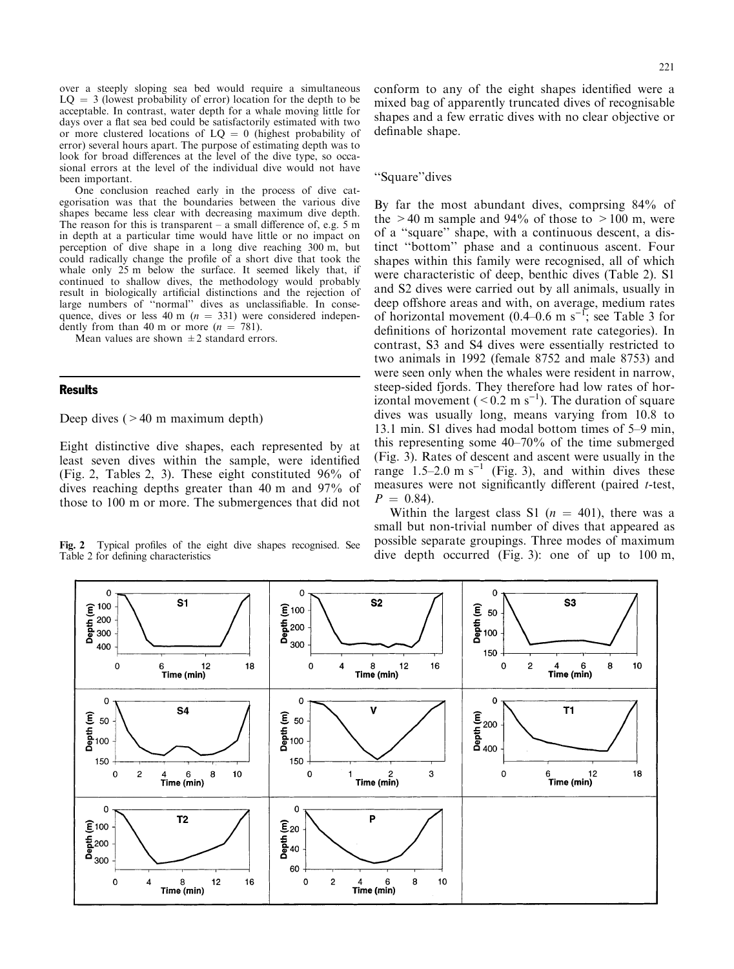over a steeply sloping sea bed would require a simultaneous  $LQ = 3$  (lowest probability of error) location for the depth to be acceptable. In contrast, water depth for a whale moving little for days over a flat sea bed could be satisfactorily estimated with two or more clustered locations of  $LQ = 0$  (highest probability of error) several hours apart. The purpose of estimating depth was to look for broad differences at the level of the dive type, so occasional errors at the level of the individual dive would not have been important.

One conclusion reached early in the process of dive categorisation was that the boundaries between the various dive shapes became less clear with decreasing maximum dive depth. The reason for this is transparent  $-\alpha$  small difference of, e.g. 5 m in depth at a particular time would have little or no impact on perception of dive shape in a long dive reaching 300 m, but could radically change the profile of a short dive that took the whale only 25 m below the surface. It seemed likely that, if continued to shallow dives, the methodology would probably result in biologically artificial distinctions and the rejection of large numbers of "normal" dives as unclassifiable. In consequence, dives or less 40 m ( $n = 331$ ) were considered independently from than 40 m or more  $(n = 781)$ .

Mean values are shown  $\pm 2$  standard errors.

## Results

Deep dives  $(>40 \text{ m maximum depth})$ 

Eight distinctive dive shapes, each represented by at least seven dives within the sample, were identified (Fig. 2, Tables 2, 3). These eight constituted 96% of dives reaching depths greater than 40 m and 97% of those to 100 m or more. The submergences that did not

Table 2 for defining characteristics

221

conform to any of the eight shapes identified were a mixed bag of apparently truncated dives of recognisable shapes and a few erratic dives with no clear objective or definable shape.

# ``Square''dives

By far the most abundant dives, comprsing 84% of the  $>40$  m sample and 94% of those to  $>100$  m, were of a ``square'' shape, with a continuous descent, a distinct "bottom" phase and a continuous ascent. Four shapes within this family were recognised, all of which were characteristic of deep, benthic dives (Table 2). S1 and S2 dives were carried out by all animals, usually in deep offshore areas and with, on average, medium rates of horizontal movement  $(0.4-0.6 \text{ m s}^{-1})$ ; see Table 3 for definitions of horizontal movement rate categories). In contrast, S3 and S4 dives were essentially restricted to two animals in 1992 (female 8752 and male 8753) and were seen only when the whales were resident in narrow, steep-sided fjords. They therefore had low rates of horizontal movement ( $\leq 0.2$  m s<sup>-1</sup>). The duration of square dives was usually long, means varying from 10.8 to 13.1 min. S1 dives had modal bottom times of 5–9 min, this representing some  $40-70%$  of the time submerged (Fig. 3). Rates of descent and ascent were usually in the range  $1.5-2.0 \text{ m s}^{-1}$  (Fig. 3), and within dives these measures were not significantly different (paired  $t$ -test,  $P = 0.84$ .

Within the largest class S1 ( $n = 401$ ), there was a small but non-trivial number of dives that appeared as possible separate groupings. Three modes of maximum Fig. 2 Typical profiles of the eight dive shapes recognised. See possible separate groupings. Three modes of maximum Table 2 for defining characteristics dive depth occurred (Fig. 3): one of up to 100 m,

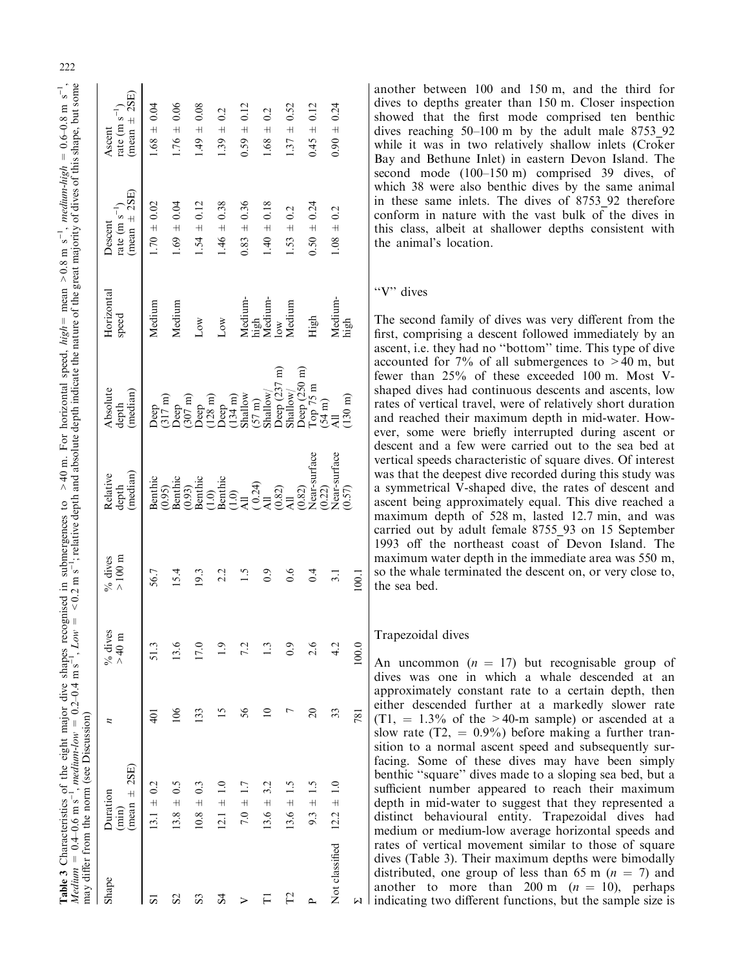|                  | <i>Medium</i> = 0.4–0.6 m s <sup>-1</sup> , <i>medium-low</i> = 0.2–0.4 m s <sup>-1</sup> , <i>Low</i> = <0.2 m s <sup>-1</sup> ; relative depth and absolute depth indicate the nature of the great majority of dives of this shape, but some<br><b>Table 3</b> Characteristics of the eight major dive shapes recognised in submergences to >40 m. For horizontal speed, high = mean >0.8 m s <sup>-1</sup> , medium-high = 0.6-0.8 m s <sup>-1</sup> ,<br>may differ from the norm (see Discussion) |                 |                      |                              |                                        |                                           |                                   |                                                   |                                                  |
|------------------|--------------------------------------------------------------------------------------------------------------------------------------------------------------------------------------------------------------------------------------------------------------------------------------------------------------------------------------------------------------------------------------------------------------------------------------------------------------------------------------------------------|-----------------|----------------------|------------------------------|----------------------------------------|-------------------------------------------|-----------------------------------|---------------------------------------------------|--------------------------------------------------|
| Shape            | $(mean \pm 2SE)$<br>Duration<br>$(\min)$                                                                                                                                                                                                                                                                                                                                                                                                                                                               | n               | $%$ dives<br>$>40$ m | $>100~\mathrm{m}$<br>% dives | $(\text{median})$<br>Relative<br>depth | Absolute<br>(median)<br>depth             | Horizontal<br>speed               | $(mean \pm 2SE)$<br>rate (m $s^{-1}$ )<br>Descent | $(mean \pm 2SE)$<br>rate (m $s^{-1}$ )<br>Ascent |
| 51               | $13.1 \pm 0.2$                                                                                                                                                                                                                                                                                                                                                                                                                                                                                         | (⊂              | 51.3                 | 56.7                         | Benthic                                | Deep                                      | Medium                            | $1.70 \pm 0.02$                                   | $1.68 \pm 0.04$                                  |
| S <sub>2</sub>   | $13.8 \pm 0.5$                                                                                                                                                                                                                                                                                                                                                                                                                                                                                         | $\frac{8}{100}$ | 13.6                 | 15.4                         | $(0.95)$<br>Benthic                    | $\frac{317 \text{ m}}{307 \text{ m}}$     | Medium                            | $1.69 \pm 0.04$                                   | $1.76 \pm 0.06$                                  |
| S3               | $10.8 \pm 0.3$                                                                                                                                                                                                                                                                                                                                                                                                                                                                                         | 133             | 17.0                 | 19.3                         | $(0.93)$<br>Benthic                    | $(128 \text{ m})$<br>Deep                 | $_{\text{Low}}$                   | $1.54 \pm 0.12$                                   | $1.49 \pm 0.08$                                  |
| $\overline{S}$ 4 | $12.1 \pm 1.0$                                                                                                                                                                                                                                                                                                                                                                                                                                                                                         |                 | $\overline{0}$       | 2.2                          | $(1.0)$<br>Benthic<br>$(1.0)$<br>All   | Deep                                      | $_{\text{Low}}$                   | $1.46 \pm 0.38$                                   | $1.39 \pm 0.2$                                   |
|                  | $7.0 \pm 1.7$                                                                                                                                                                                                                                                                                                                                                                                                                                                                                          | 56              | 7.2                  | 1.5                          |                                        | Shallow<br>$(134 \text{ m})$              | Medium-                           | $0.83 \pm 0.36$                                   | $0.59 \pm 0.12$                                  |
|                  | $13.6 \pm 3.2$                                                                                                                                                                                                                                                                                                                                                                                                                                                                                         |                 | <u>ි</u>             | $_{0.9}$                     | $(0.24)$<br>All                        | Shallow/<br>$(57 \text{ m})$              | high<br>Medium-                   | $1.40 \pm 0.18$                                   | ± 0.2<br>1.68                                    |
| 2                | $13.6 \pm 1.5$                                                                                                                                                                                                                                                                                                                                                                                                                                                                                         |                 | 0.9                  | $\frac{6}{1}$                | $\frac{(0.82)}{41}$                    | Deep $(237 \text{ m})$<br>Shallow/        | Medium<br>$\overline{\text{low}}$ | $1.53 \pm 0.2$                                    | $\pm 0.52$<br>1.37                               |
|                  | $9.3 \pm 1.5$                                                                                                                                                                                                                                                                                                                                                                                                                                                                                          | $\overline{c}$  | 2.6                  | 0.4                          | Near-surface<br>$(0.22)$<br>(0.82)     | Deep (250 m)<br>Top 75 m<br>(54 m)<br>All | High                              | $0.50 \pm 0.24$                                   | $0.45 \pm 0.12$                                  |
| Not classified   | $12.2 \pm 1.0$                                                                                                                                                                                                                                                                                                                                                                                                                                                                                         | 33              | 4.2                  | $\overline{3.1}$             | Near-surface                           |                                           | Medium-                           | $1.08 \pm 0.2$                                    | $0.90 \pm 0.24$                                  |
|                  |                                                                                                                                                                                                                                                                                                                                                                                                                                                                                                        | 781             | 100.0                | 100.1                        | (0.57)                                 | $(130 \text{ m})$                         | high                              |                                                   |                                                  |

another between 100 and 150 m, and the third for dives to depths greater than 150 m. Closer inspection showed that the first mode comprised ten benthic dives reaching  $50-100$  m by the adult male 8753\_92 while it was in two relatively shallow inlets (Croker Bay and Bethune Inlet) in eastern Devon Island. The second mode  $(100-150 \text{ m})$  comprised 39 dives, of which 38 were also benthic dives by the same animal in these same inlets. The dives of 8753\_92 therefore conform in nature with the vast bulk of the dives in this class, albeit at shallower depths consistent with the animal's location.

# "V" dives

The second family of dives was very different from the first, comprising a descent followed immediately by an ascent, i.e. they had no "bottom" time. This type of dive accounted for  $7\%$  of all submergences to  $>40$  m, but fewer than 25% of these exceeded 100 m. Most Vshaped dives had continuous descents and ascents, low rates of vertical travel, were of relatively short duration and reached their maximum depth in mid-water. However, some were briefly interrupted during ascent or descent and a few were carried out to the sea bed at vertical speeds characteristic of square dives. Of interest was that the deepest dive recorded during this study was a symmetrical V-shaped dive, the rates of descent and ascent being approximately equal. This dive reached a maximum depth of 528 m, lasted 12.7 min, and was carried out by adult female 8755\_93 on 15 September 1993 off the northeast coast of Devon Island. The maximum water depth in the immediate area was 550 m, so the whale terminated the descent on, or very close to, the sea bed.

# Trapezoidal dives

An uncommon  $(n = 17)$  but recognisable group of dives was one in which a whale descended at an approximately constant rate to a certain depth, then either descended further at a markedly slower rate  $(T1, = 1.3\%$  of the >40-m sample) or ascended at a slow rate  $(T2, = 0.9\%)$  before making a further transition to a normal ascent speed and subsequently surfacing. Some of these dives may have been simply benthic "square" dives made to a sloping sea bed, but a sufficient number appeared to reach their maximum depth in mid-water to suggest that they represented a distinct behavioural entity. Trapezoidal dives had medium or medium-low average horizontal speeds and rates of vertical movement similar to those of square dives (Table 3). Their maximum depths were bimodally distributed, one group of less than 65 m  $(n = 7)$  and another to more than 200 m  $(n = 10)$ , perhaps indicating two different functions, but the sample size is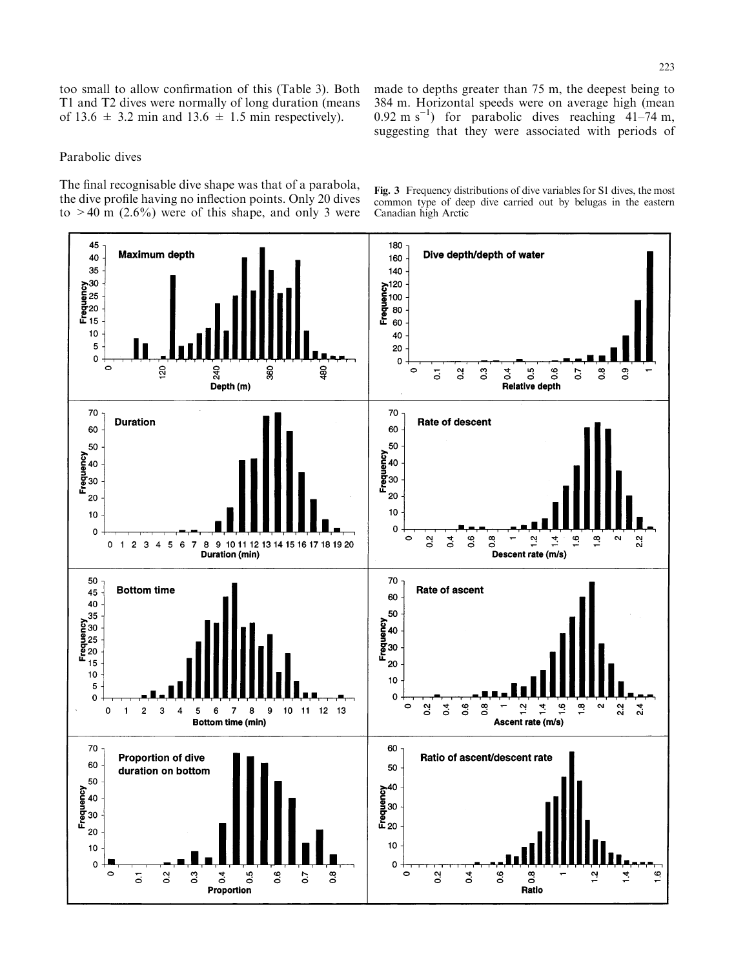too small to allow confirmation of this (Table 3). Both T1 and T2 dives were normally of long duration (means of 13.6  $\pm$  3.2 min and 13.6  $\pm$  1.5 min respectively).

made to depths greater than 75 m, the deepest being to 384 m. Horizontal speeds were on average high (mean  $0.92 \text{ m s}^{-1}$ ) for parabolic dives reaching  $41-74 \text{ m}$ , suggesting that they were associated with periods of

# Parabolic dives

The final recognisable dive shape was that of a parabola, the dive profile having no inflection points. Only 20 dives to  $>40$  m (2.6%) were of this shape, and only 3 were

Fig. 3 Frequency distributions of dive variables for S1 dives, the most common type of deep dive carried out by belugas in the eastern Canadian high Arctic

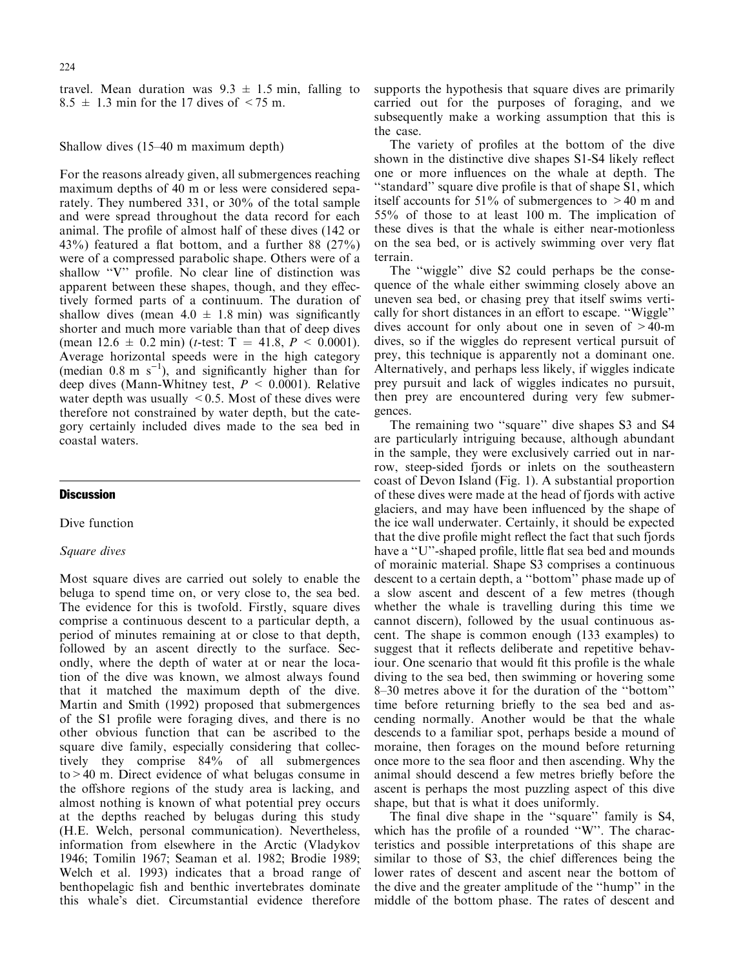travel. Mean duration was  $9.3 \pm 1.5$  min, falling to  $8.5 \pm 1.3$  min for the 17 dives of  $\leq 75$  m.

Shallow dives  $(15-40 \text{ m maximum depth})$ 

For the reasons already given, all submergences reaching maximum depths of 40 m or less were considered separately. They numbered 331, or 30% of the total sample and were spread throughout the data record for each animal. The profile of almost half of these dives (142 or 43%) featured a flat bottom, and a further 88  $(27\%)$ were of a compressed parabolic shape. Others were of a shallow "V" profile. No clear line of distinction was apparent between these shapes, though, and they effectively formed parts of a continuum. The duration of shallow dives (mean  $4.0 \pm 1.8$  min) was significantly shorter and much more variable than that of deep dives (mean  $12.6 \pm 0.2$  min) (*t*-test: T = 41.8,  $P < 0.0001$ ). Average horizontal speeds were in the high category (median  $0.8 \text{ m s}^{-1}$ ), and significantly higher than for deep dives (Mann-Whitney test,  $P \leq 0.0001$ ). Relative water depth was usually  $\leq$  0.5. Most of these dives were therefore not constrained by water depth, but the category certainly included dives made to the sea bed in coastal waters.

# **Discussion**

Dive function

## Square dives

Most square dives are carried out solely to enable the beluga to spend time on, or very close to, the sea bed. The evidence for this is twofold. Firstly, square dives comprise a continuous descent to a particular depth, a period of minutes remaining at or close to that depth, followed by an ascent directly to the surface. Secondly, where the depth of water at or near the location of the dive was known, we almost always found that it matched the maximum depth of the dive. Martin and Smith (1992) proposed that submergences of the S1 profile were foraging dives, and there is no other obvious function that can be ascribed to the square dive family, especially considering that collectively they comprise 84% of all submergences to>40 m. Direct evidence of what belugas consume in the offshore regions of the study area is lacking, and almost nothing is known of what potential prey occurs at the depths reached by belugas during this study (H.E. Welch, personal communication). Nevertheless, information from elsewhere in the Arctic (Vladykov 1946; Tomilin 1967; Seaman et al. 1982; Brodie 1989; Welch et al. 1993) indicates that a broad range of benthopelagic fish and benthic invertebrates dominate this whale's diet. Circumstantial evidence therefore supports the hypothesis that square dives are primarily carried out for the purposes of foraging, and we subsequently make a working assumption that this is the case.

The variety of profiles at the bottom of the dive shown in the distinctive dive shapes S1-S4 likely reflect one or more influences on the whale at depth. The "standard" square dive profile is that of shape S1, which itself accounts for 51% of submergences to  $>40$  m and 55% of those to at least 100 m. The implication of these dives is that the whale is either near-motionless on the sea bed, or is actively swimming over very flat terrain.

The "wiggle" dive S2 could perhaps be the consequence of the whale either swimming closely above an uneven sea bed, or chasing prey that itself swims vertically for short distances in an effort to escape. "Wiggle" dives account for only about one in seven of >40-m dives, so if the wiggles do represent vertical pursuit of prey, this technique is apparently not a dominant one. Alternatively, and perhaps less likely, if wiggles indicate prey pursuit and lack of wiggles indicates no pursuit, then prey are encountered during very few submergences.

The remaining two "square" dive shapes S3 and S4 are particularly intriguing because, although abundant in the sample, they were exclusively carried out in narrow, steep-sided fjords or inlets on the southeastern coast of Devon Island (Fig. 1). A substantial proportion of these dives were made at the head of fjords with active glaciers, and may have been influenced by the shape of the ice wall underwater. Certainly, it should be expected that the dive profile might reflect the fact that such fjords have a "U"-shaped profile, little flat sea bed and mounds of morainic material. Shape S3 comprises a continuous descent to a certain depth, a "bottom" phase made up of a slow ascent and descent of a few metres (though whether the whale is travelling during this time we cannot discern), followed by the usual continuous ascent. The shape is common enough (133 examples) to suggest that it reflects deliberate and repetitive behaviour. One scenario that would fit this profile is the whale diving to the sea bed, then swimming or hovering some 8-30 metres above it for the duration of the "bottom" time before returning briefly to the sea bed and ascending normally. Another would be that the whale descends to a familiar spot, perhaps beside a mound of moraine, then forages on the mound before returning once more to the sea floor and then ascending. Why the animal should descend a few metres briefly before the ascent is perhaps the most puzzling aspect of this dive shape, but that is what it does uniformly.

The final dive shape in the "square" family is S4, which has the profile of a rounded "W". The characteristics and possible interpretations of this shape are similar to those of S3, the chief differences being the lower rates of descent and ascent near the bottom of the dive and the greater amplitude of the ``hump'' in the middle of the bottom phase. The rates of descent and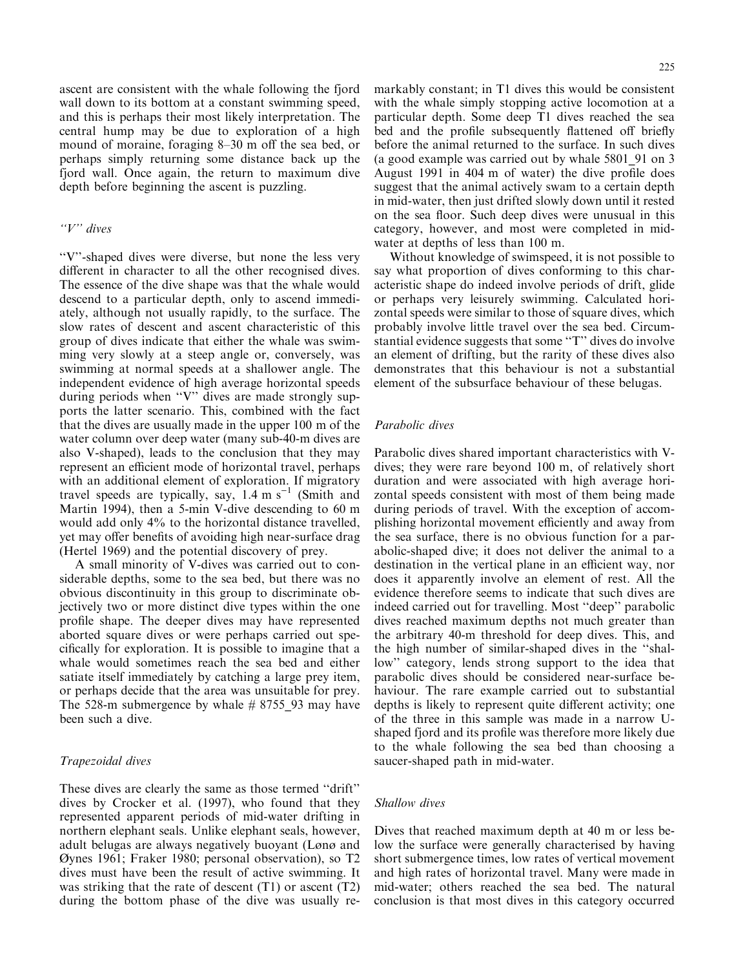ascent are consistent with the whale following the fjord wall down to its bottom at a constant swimming speed, and this is perhaps their most likely interpretation. The central hump may be due to exploration of a high mound of moraine, foraging 8–30 m off the sea bed, or perhaps simply returning some distance back up the fjord wall. Once again, the return to maximum dive depth before beginning the ascent is puzzling.

# $"V"$  dives

``V''-shaped dives were diverse, but none the less very different in character to all the other recognised dives. The essence of the dive shape was that the whale would descend to a particular depth, only to ascend immediately, although not usually rapidly, to the surface. The slow rates of descent and ascent characteristic of this group of dives indicate that either the whale was swimming very slowly at a steep angle or, conversely, was swimming at normal speeds at a shallower angle. The independent evidence of high average horizontal speeds during periods when "V" dives are made strongly supports the latter scenario. This, combined with the fact that the dives are usually made in the upper 100 m of the water column over deep water (many sub-40-m dives are also V-shaped), leads to the conclusion that they may represent an efficient mode of horizontal travel, perhaps with an additional element of exploration. If migratory travel speeds are typically, say,  $1.4 \text{ m s}^{-1}$  (Smith and Martin 1994), then a 5-min V-dive descending to 60 m would add only 4% to the horizontal distance travelled, yet may offer benefits of avoiding high near-surface drag (Hertel 1969) and the potential discovery of prey.

A small minority of V-dives was carried out to considerable depths, some to the sea bed, but there was no obvious discontinuity in this group to discriminate objectively two or more distinct dive types within the one profile shape. The deeper dives may have represented aborted square dives or were perhaps carried out specifically for exploration. It is possible to imagine that a whale would sometimes reach the sea bed and either satiate itself immediately by catching a large prey item, or perhaps decide that the area was unsuitable for prey. The 528-m submergence by whale  $# 8755_93$  may have been such a dive.

## Trapezoidal dives

These dives are clearly the same as those termed "drift" dives by Crocker et al. (1997), who found that they represented apparent periods of mid-water drifting in northern elephant seals. Unlike elephant seals, however, adult belugas are always negatively buoyant (Lønø and éynes 1961; Fraker 1980; personal observation), so T2 dives must have been the result of active swimming. It was striking that the rate of descent  $(T1)$  or ascent  $(T2)$ during the bottom phase of the dive was usually remarkably constant; in T1 dives this would be consistent with the whale simply stopping active locomotion at a particular depth. Some deep T1 dives reached the sea bed and the profile subsequently flattened off briefly before the animal returned to the surface. In such dives (a good example was carried out by whale 5801\_91 on 3 August 1991 in  $404$  m of water) the dive profile does suggest that the animal actively swam to a certain depth in mid-water, then just drifted slowly down until it rested on the sea floor. Such deep dives were unusual in this category, however, and most were completed in midwater at depths of less than 100 m.

Without knowledge of swimspeed, it is not possible to say what proportion of dives conforming to this characteristic shape do indeed involve periods of drift, glide or perhaps very leisurely swimming. Calculated horizontal speeds were similar to those of square dives, which probably involve little travel over the sea bed. Circumstantial evidence suggests that some "T" dives do involve an element of drifting, but the rarity of these dives also demonstrates that this behaviour is not a substantial element of the subsurface behaviour of these belugas.

## Parabolic dives

Parabolic dives shared important characteristics with Vdives; they were rare beyond 100 m, of relatively short duration and were associated with high average horizontal speeds consistent with most of them being made during periods of travel. With the exception of accomplishing horizontal movement eciently and away from the sea surface, there is no obvious function for a parabolic-shaped dive; it does not deliver the animal to a destination in the vertical plane in an efficient way, nor does it apparently involve an element of rest. All the evidence therefore seems to indicate that such dives are indeed carried out for travelling. Most "deep" parabolic dives reached maximum depths not much greater than the arbitrary 40-m threshold for deep dives. This, and the high number of similar-shaped dives in the ``shallow'' category, lends strong support to the idea that parabolic dives should be considered near-surface behaviour. The rare example carried out to substantial depths is likely to represent quite different activity; one of the three in this sample was made in a narrow Ushaped fjord and its profile was therefore more likely due to the whale following the sea bed than choosing a saucer-shaped path in mid-water.

## Shallow dives

Dives that reached maximum depth at 40 m or less below the surface were generally characterised by having short submergence times, low rates of vertical movement and high rates of horizontal travel. Many were made in mid-water; others reached the sea bed. The natural conclusion is that most dives in this category occurred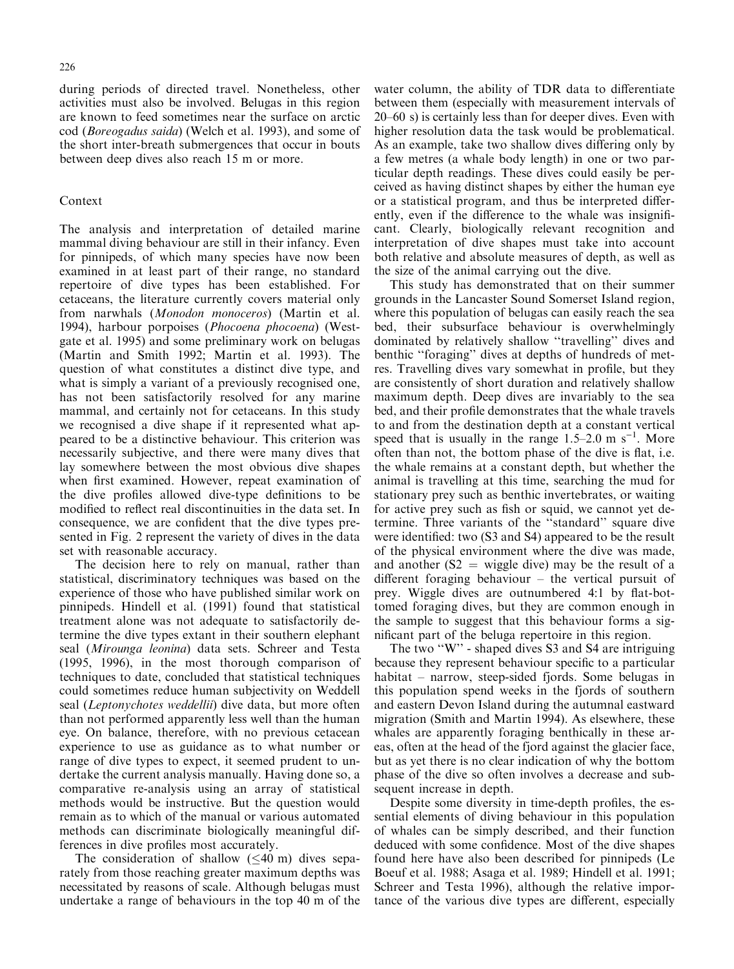during periods of directed travel. Nonetheless, other activities must also be involved. Belugas in this region are known to feed sometimes near the surface on arctic cod (Boreogadus saida) (Welch et al. 1993), and some of the short inter-breath submergences that occur in bouts between deep dives also reach 15 m or more.

## Context

The analysis and interpretation of detailed marine mammal diving behaviour are still in their infancy. Even for pinnipeds, of which many species have now been examined in at least part of their range, no standard repertoire of dive types has been established. For cetaceans, the literature currently covers material only from narwhals (Monodon monoceros) (Martin et al. 1994), harbour porpoises (Phocoena phocoena) (Westgate et al. 1995) and some preliminary work on belugas (Martin and Smith 1992; Martin et al. 1993). The question of what constitutes a distinct dive type, and what is simply a variant of a previously recognised one, has not been satisfactorily resolved for any marine mammal, and certainly not for cetaceans. In this study we recognised a dive shape if it represented what appeared to be a distinctive behaviour. This criterion was necessarily subjective, and there were many dives that lay somewhere between the most obvious dive shapes when first examined. However, repeat examination of the dive profiles allowed dive-type definitions to be modified to reflect real discontinuities in the data set. In consequence, we are confident that the dive types presented in Fig. 2 represent the variety of dives in the data set with reasonable accuracy.

The decision here to rely on manual, rather than statistical, discriminatory techniques was based on the experience of those who have published similar work on pinnipeds. Hindell et al. (1991) found that statistical treatment alone was not adequate to satisfactorily determine the dive types extant in their southern elephant seal (Mirounga leonina) data sets. Schreer and Testa (1995, 1996), in the most thorough comparison of techniques to date, concluded that statistical techniques could sometimes reduce human subjectivity on Weddell seal (Leptonychotes weddellii) dive data, but more often than not performed apparently less well than the human eye. On balance, therefore, with no previous cetacean experience to use as guidance as to what number or range of dive types to expect, it seemed prudent to undertake the current analysis manually. Having done so, a comparative re-analysis using an array of statistical methods would be instructive. But the question would remain as to which of the manual or various automated methods can discriminate biologically meaningful differences in dive profiles most accurately.

The consideration of shallow  $(\leq 40 \text{ m})$  dives separately from those reaching greater maximum depths was necessitated by reasons of scale. Although belugas must undertake a range of behaviours in the top 40 m of the

water column, the ability of TDR data to differentiate between them (especially with measurement intervals of  $20-60$  s) is certainly less than for deeper dives. Even with higher resolution data the task would be problematical. As an example, take two shallow dives differing only by a few metres (a whale body length) in one or two particular depth readings. These dives could easily be perceived as having distinct shapes by either the human eye or a statistical program, and thus be interpreted differently, even if the difference to the whale was insignificant. Clearly, biologically relevant recognition and interpretation of dive shapes must take into account both relative and absolute measures of depth, as well as the size of the animal carrying out the dive.

This study has demonstrated that on their summer grounds in the Lancaster Sound Somerset Island region, where this population of belugas can easily reach the sea bed, their subsurface behaviour is overwhelmingly dominated by relatively shallow "travelling" dives and benthic "foraging" dives at depths of hundreds of metres. Travelling dives vary somewhat in profile, but they are consistently of short duration and relatively shallow maximum depth. Deep dives are invariably to the sea bed, and their profile demonstrates that the whale travels to and from the destination depth at a constant vertical speed that is usually in the range  $1.5-2.0$  m s<sup>-1</sup>. More often than not, the bottom phase of the dive is flat, i.e. the whale remains at a constant depth, but whether the animal is travelling at this time, searching the mud for stationary prey such as benthic invertebrates, or waiting for active prey such as fish or squid, we cannot yet determine. Three variants of the "standard" square dive were identified: two (S3 and S4) appeared to be the result of the physical environment where the dive was made, and another  $(S2 = wiggle \text{ dive})$  may be the result of a different foraging behaviour  $-$  the vertical pursuit of prey. Wiggle dives are outnumbered 4:1 by flat-bottomed foraging dives, but they are common enough in the sample to suggest that this behaviour forms a significant part of the beluga repertoire in this region.

The two  $\cdot w$ " - shaped dives S3 and S4 are intriguing because they represent behaviour specific to a particular habitat  $-$  narrow, steep-sided fjords. Some belugas in this population spend weeks in the fjords of southern and eastern Devon Island during the autumnal eastward migration (Smith and Martin 1994). As elsewhere, these whales are apparently foraging benthically in these areas, often at the head of the fjord against the glacier face, but as yet there is no clear indication of why the bottom phase of the dive so often involves a decrease and subsequent increase in depth.

Despite some diversity in time-depth profiles, the essential elements of diving behaviour in this population of whales can be simply described, and their function deduced with some confidence. Most of the dive shapes found here have also been described for pinnipeds (Le Boeuf et al. 1988; Asaga et al. 1989; Hindell et al. 1991; Schreer and Testa 1996), although the relative importance of the various dive types are different, especially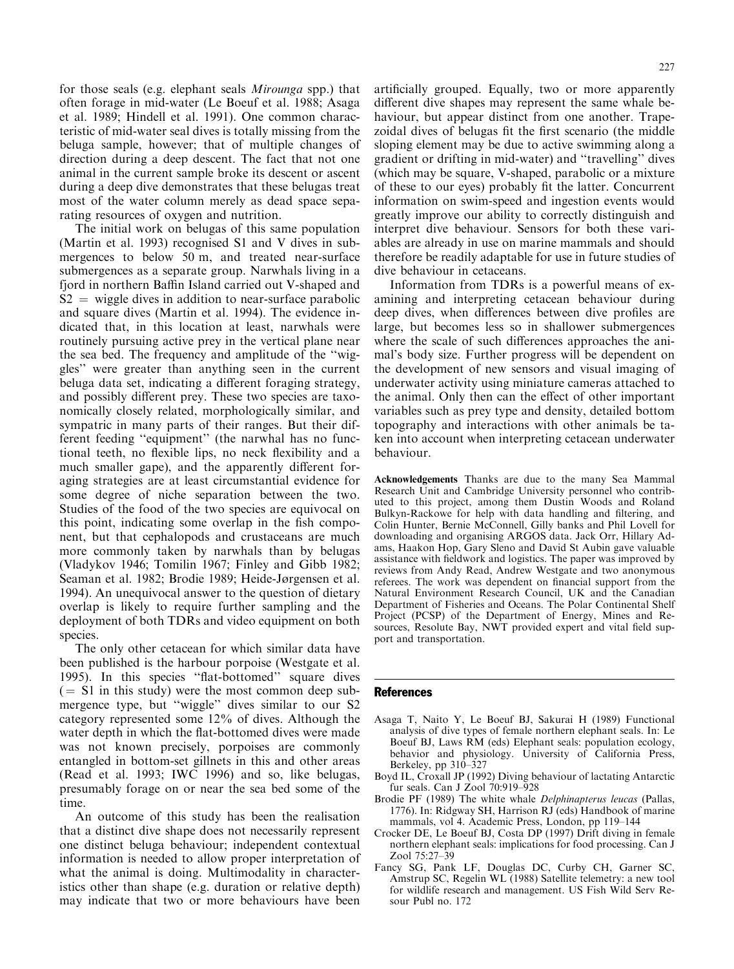for those seals (e.g. elephant seals Mirounga spp.) that often forage in mid-water (Le Boeuf et al. 1988; Asaga et al. 1989; Hindell et al. 1991). One common characteristic of mid-water seal dives is totally missing from the beluga sample, however; that of multiple changes of direction during a deep descent. The fact that not one animal in the current sample broke its descent or ascent during a deep dive demonstrates that these belugas treat most of the water column merely as dead space separating resources of oxygen and nutrition.

The initial work on belugas of this same population (Martin et al. 1993) recognised S1 and V dives in submergences to below 50 m, and treated near-surface submergences as a separate group. Narwhals living in a fjord in northern Baffin Island carried out V-shaped and  $S2 =$  wiggle dives in addition to near-surface parabolic and square dives (Martin et al. 1994). The evidence indicated that, in this location at least, narwhals were routinely pursuing active prey in the vertical plane near the sea bed. The frequency and amplitude of the "wiggles'' were greater than anything seen in the current beluga data set, indicating a different foraging strategy, and possibly different prey. These two species are taxonomically closely related, morphologically similar, and sympatric in many parts of their ranges. But their different feeding "equipment" (the narwhal has no functional teeth, no flexible lips, no neck flexibility and a much smaller gape), and the apparently different foraging strategies are at least circumstantial evidence for some degree of niche separation between the two. Studies of the food of the two species are equivocal on this point, indicating some overlap in the fish component, but that cephalopods and crustaceans are much more commonly taken by narwhals than by belugas (Vladykov 1946; Tomilin 1967; Finley and Gibb 1982; Seaman et al. 1982; Brodie 1989; Heide-Jørgensen et al. 1994). An unequivocal answer to the question of dietary overlap is likely to require further sampling and the deployment of both TDRs and video equipment on both species.

The only other cetacean for which similar data have been published is the harbour porpoise (Westgate et al. 1995). In this species "flat-bottomed" square dives  $($  = S1 in this study) were the most common deep submergence type, but "wiggle" dives similar to our S2 category represented some 12% of dives. Although the water depth in which the flat-bottomed dives were made was not known precisely, porpoises are commonly entangled in bottom-set gillnets in this and other areas (Read et al. 1993; IWC 1996) and so, like belugas, presumably forage on or near the sea bed some of the time.

An outcome of this study has been the realisation that a distinct dive shape does not necessarily represent one distinct beluga behaviour; independent contextual information is needed to allow proper interpretation of what the animal is doing. Multimodality in characteristics other than shape (e.g. duration or relative depth) may indicate that two or more behaviours have been artificially grouped. Equally, two or more apparently different dive shapes may represent the same whale behaviour, but appear distinct from one another. Trapezoidal dives of belugas fit the first scenario (the middle sloping element may be due to active swimming along a gradient or drifting in mid-water) and "travelling" dives (which may be square, V-shaped, parabolic or a mixture of these to our eyes) probably fit the latter. Concurrent information on swim-speed and ingestion events would greatly improve our ability to correctly distinguish and interpret dive behaviour. Sensors for both these variables are already in use on marine mammals and should therefore be readily adaptable for use in future studies of dive behaviour in cetaceans.

Information from TDRs is a powerful means of examining and interpreting cetacean behaviour during deep dives, when differences between dive profiles are large, but becomes less so in shallower submergences where the scale of such differences approaches the animal's body size. Further progress will be dependent on the development of new sensors and visual imaging of underwater activity using miniature cameras attached to the animal. Only then can the effect of other important variables such as prey type and density, detailed bottom topography and interactions with other animals be taken into account when interpreting cetacean underwater behaviour.

Acknowledgements Thanks are due to the many Sea Mammal Research Unit and Cambridge University personnel who contributed to this project, among them Dustin Woods and Roland Bulkyn-Rackowe for help with data handling and filtering, and Colin Hunter, Bernie McConnell, Gilly banks and Phil Lovell for downloading and organising ARGOS data. Jack Orr, Hillary Adams, Haakon Hop, Gary Sleno and David St Aubin gave valuable assistance with fieldwork and logistics. The paper was improved by reviews from Andy Read, Andrew Westgate and two anonymous referees. The work was dependent on financial support from the Natural Environment Research Council, UK and the Canadian Department of Fisheries and Oceans. The Polar Continental Shelf Project (PCSP) of the Department of Energy, Mines and Resources, Resolute Bay, NWT provided expert and vital field support and transportation.

#### References

- Asaga T, Naito Y, Le Boeuf BJ, Sakurai H (1989) Functional analysis of dive types of female northern elephant seals. In: Le Boeuf BJ, Laws RM (eds) Elephant seals: population ecology, behavior and physiology. University of California Press, Berkeley, pp  $310-327$
- Boyd IL, Croxall JP (1992) Diving behaviour of lactating Antarctic fur seals. Can J Zool 70:919-928
- Brodie PF (1989) The white whale Delphinapterus leucas (Pallas, 1776). In: Ridgway SH, Harrison RJ (eds) Handbook of marine mammals, vol 4. Academic Press, London, pp 119-144
- Crocker DE, Le Boeuf BJ, Costa DP (1997) Drift diving in female northern elephant seals: implications for food processing. Can J Zool 75:27-39
- Fancy SG, Pank LF, Douglas DC, Curby CH, Garner SC, Amstrup SC, Regelin WL (1988) Satellite telemetry: a new tool for wildlife research and management. US Fish Wild Serv Resour Publ no. 172